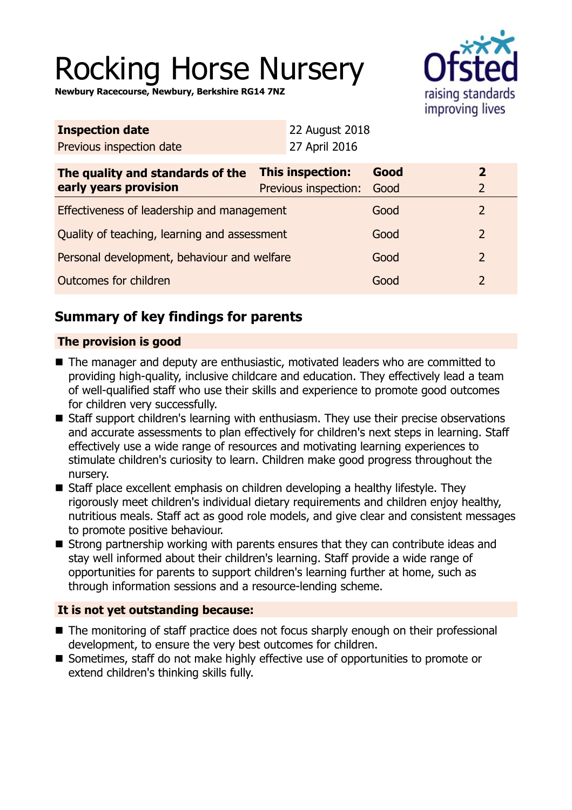# Rocking Horse Nursery

**Newbury Racecourse, Newbury, Berkshire RG14 7NZ**



| <b>Inspection date</b>   | <b>22 August 2018</b> |
|--------------------------|-----------------------|
| Previous inspection date | 27 April 2016         |

| The quality and standards of the<br>early years provision | <b>This inspection:</b><br>Previous inspection: | Good<br>Good |  |
|-----------------------------------------------------------|-------------------------------------------------|--------------|--|
| Effectiveness of leadership and management                |                                                 | Good         |  |
| Quality of teaching, learning and assessment              |                                                 | Good         |  |
| Personal development, behaviour and welfare               |                                                 | Good         |  |
| Outcomes for children                                     |                                                 | Good         |  |

# **Summary of key findings for parents**

## **The provision is good**

- The manager and deputy are enthusiastic, motivated leaders who are committed to providing high-quality, inclusive childcare and education. They effectively lead a team of well-qualified staff who use their skills and experience to promote good outcomes for children very successfully.
- Staff support children's learning with enthusiasm. They use their precise observations and accurate assessments to plan effectively for children's next steps in learning. Staff effectively use a wide range of resources and motivating learning experiences to stimulate children's curiosity to learn. Children make good progress throughout the nursery.
- Staff place excellent emphasis on children developing a healthy lifestyle. They rigorously meet children's individual dietary requirements and children enjoy healthy, nutritious meals. Staff act as good role models, and give clear and consistent messages to promote positive behaviour.
- $\blacksquare$  Strong partnership working with parents ensures that they can contribute ideas and stay well informed about their children's learning. Staff provide a wide range of opportunities for parents to support children's learning further at home, such as through information sessions and a resource-lending scheme.

## **It is not yet outstanding because:**

- The monitoring of staff practice does not focus sharply enough on their professional development, to ensure the very best outcomes for children.
- Sometimes, staff do not make highly effective use of opportunities to promote or extend children's thinking skills fully.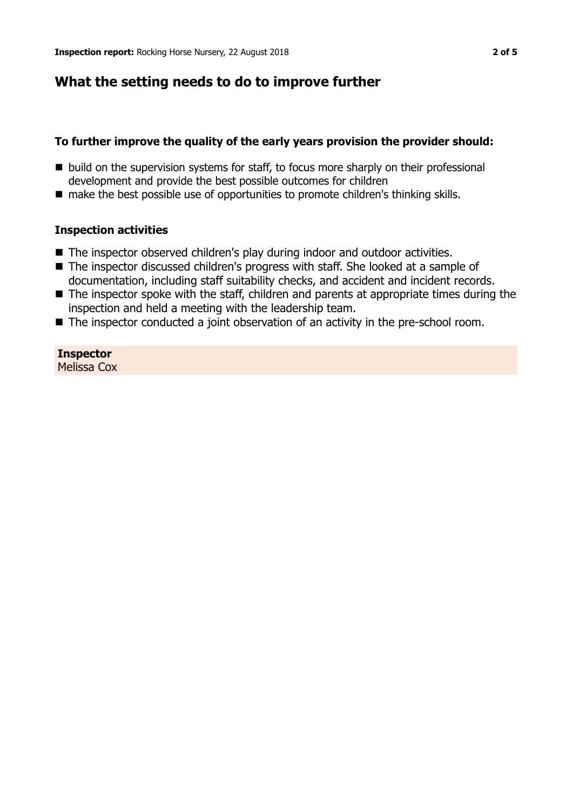## **What the setting needs to do to improve further**

## **To further improve the quality of the early years provision the provider should:**

- build on the supervision systems for staff, to focus more sharply on their professional development and provide the best possible outcomes for children
- make the best possible use of opportunities to promote children's thinking skills.

### **Inspection activities**

- The inspector observed children's play during indoor and outdoor activities.
- The inspector discussed children's progress with staff. She looked at a sample of documentation, including staff suitability checks, and accident and incident records.
- $\blacksquare$  The inspector spoke with the staff, children and parents at appropriate times during the inspection and held a meeting with the leadership team.
- $\blacksquare$  The inspector conducted a joint observation of an activity in the pre-school room.

**Inspector** Melissa Cox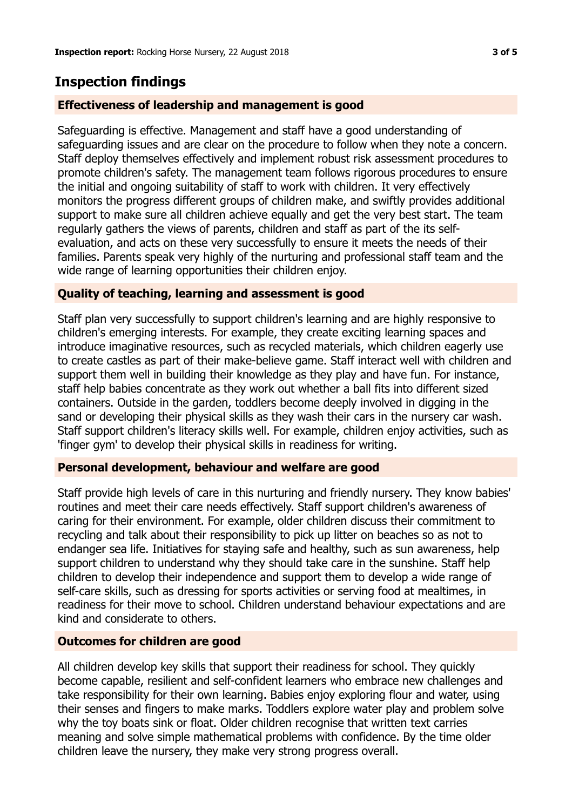# **Inspection findings**

## **Effectiveness of leadership and management is good**

Safeguarding is effective. Management and staff have a good understanding of safeguarding issues and are clear on the procedure to follow when they note a concern. Staff deploy themselves effectively and implement robust risk assessment procedures to promote children's safety. The management team follows rigorous procedures to ensure the initial and ongoing suitability of staff to work with children. It very effectively monitors the progress different groups of children make, and swiftly provides additional support to make sure all children achieve equally and get the very best start. The team regularly gathers the views of parents, children and staff as part of the its selfevaluation, and acts on these very successfully to ensure it meets the needs of their families. Parents speak very highly of the nurturing and professional staff team and the wide range of learning opportunities their children enjoy.

### **Quality of teaching, learning and assessment is good**

Staff plan very successfully to support children's learning and are highly responsive to children's emerging interests. For example, they create exciting learning spaces and introduce imaginative resources, such as recycled materials, which children eagerly use to create castles as part of their make-believe game. Staff interact well with children and support them well in building their knowledge as they play and have fun. For instance, staff help babies concentrate as they work out whether a ball fits into different sized containers. Outside in the garden, toddlers become deeply involved in digging in the sand or developing their physical skills as they wash their cars in the nursery car wash. Staff support children's literacy skills well. For example, children enjoy activities, such as 'finger gym' to develop their physical skills in readiness for writing.

### **Personal development, behaviour and welfare are good**

Staff provide high levels of care in this nurturing and friendly nursery. They know babies' routines and meet their care needs effectively. Staff support children's awareness of caring for their environment. For example, older children discuss their commitment to recycling and talk about their responsibility to pick up litter on beaches so as not to endanger sea life. Initiatives for staying safe and healthy, such as sun awareness, help support children to understand why they should take care in the sunshine. Staff help children to develop their independence and support them to develop a wide range of self-care skills, such as dressing for sports activities or serving food at mealtimes, in readiness for their move to school. Children understand behaviour expectations and are kind and considerate to others.

### **Outcomes for children are good**

All children develop key skills that support their readiness for school. They quickly become capable, resilient and self-confident learners who embrace new challenges and take responsibility for their own learning. Babies enjoy exploring flour and water, using their senses and fingers to make marks. Toddlers explore water play and problem solve why the toy boats sink or float. Older children recognise that written text carries meaning and solve simple mathematical problems with confidence. By the time older children leave the nursery, they make very strong progress overall.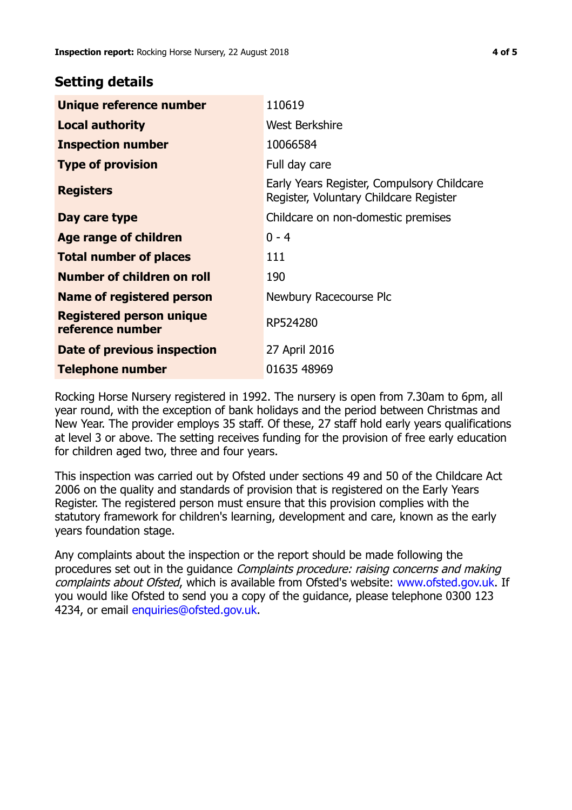## **Setting details**

| Unique reference number                             | 110619                                                                               |
|-----------------------------------------------------|--------------------------------------------------------------------------------------|
| <b>Local authority</b>                              | <b>West Berkshire</b>                                                                |
| <b>Inspection number</b>                            | 10066584                                                                             |
| <b>Type of provision</b>                            | Full day care                                                                        |
| <b>Registers</b>                                    | Early Years Register, Compulsory Childcare<br>Register, Voluntary Childcare Register |
| Day care type                                       | Childcare on non-domestic premises                                                   |
| Age range of children                               | $0 - 4$                                                                              |
| <b>Total number of places</b>                       | 111                                                                                  |
| Number of children on roll                          | 190                                                                                  |
| Name of registered person                           | Newbury Racecourse Plc                                                               |
| <b>Registered person unique</b><br>reference number | RP524280                                                                             |
| Date of previous inspection                         | 27 April 2016                                                                        |
| <b>Telephone number</b>                             | 01635 48969                                                                          |

Rocking Horse Nursery registered in 1992. The nursery is open from 7.30am to 6pm, all year round, with the exception of bank holidays and the period between Christmas and New Year. The provider employs 35 staff. Of these, 27 staff hold early years qualifications at level 3 or above. The setting receives funding for the provision of free early education for children aged two, three and four years.

This inspection was carried out by Ofsted under sections 49 and 50 of the Childcare Act 2006 on the quality and standards of provision that is registered on the Early Years Register. The registered person must ensure that this provision complies with the statutory framework for children's learning, development and care, known as the early years foundation stage.

Any complaints about the inspection or the report should be made following the procedures set out in the guidance Complaints procedure: raising concerns and making complaints about Ofsted, which is available from Ofsted's website: www.ofsted.gov.uk. If you would like Ofsted to send you a copy of the guidance, please telephone 0300 123 4234, or email [enquiries@ofsted.gov.uk.](mailto:enquiries@ofsted.gov.uk)